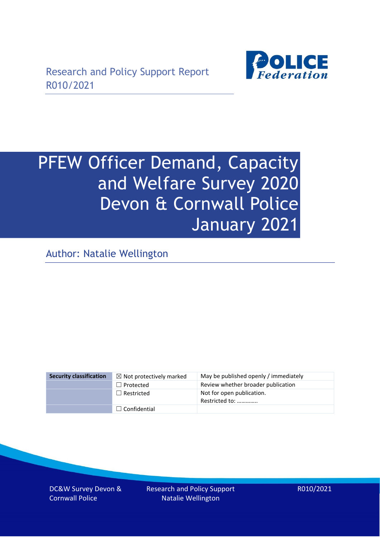

# PFEW Officer Demand, Capacity and Welfare Survey 2020 Devon & Cornwall Police January 2021

Author: Natalie Wellington

| <b>Security classification</b> | $\boxtimes$ Not protectively marked | May be published openly / immediately       |
|--------------------------------|-------------------------------------|---------------------------------------------|
|                                | $\Box$ Protected                    | Review whether broader publication          |
|                                | $\Box$ Restricted                   | Not for open publication.<br>Restricted to: |
|                                | $\Box$ Confidential                 |                                             |

DC&W Survey Devon & Cornwall Police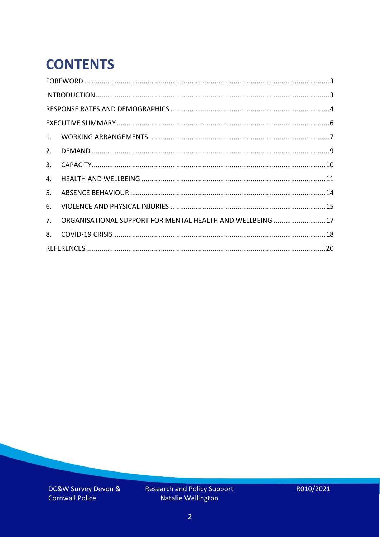# **CONTENTS**

| 2.          |                                                            |  |
|-------------|------------------------------------------------------------|--|
| 3.          |                                                            |  |
| 4.          |                                                            |  |
| 5.          |                                                            |  |
| 6.          |                                                            |  |
| $7_{\cdot}$ | ORGANISATIONAL SUPPORT FOR MENTAL HEALTH AND WELLBEING  17 |  |
| 8.          |                                                            |  |
|             |                                                            |  |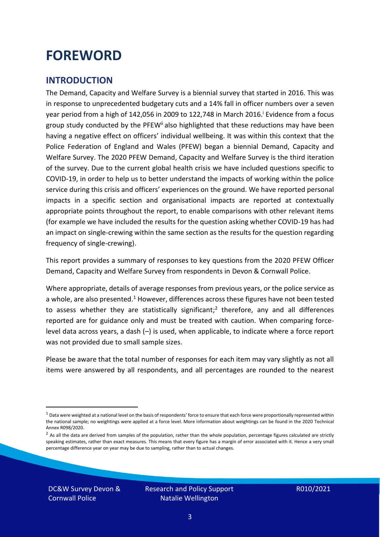### <span id="page-2-0"></span>**FOREWORD**

#### <span id="page-2-1"></span>**INTRODUCTION**

The Demand, Capacity and Welfare Survey is a biennial survey that started in 2016. This was in response to unprecedented budgetary cuts and a 14% fall in officer numbers over a seven year period from a high of 142,056 in 2009 to 122,748 in March 2016. <sup>i</sup> Evidence from a focus group study conducted by the PFEW<sup>ii</sup> also highlighted that these reductions may have been having a negative effect on officers' individual wellbeing. It was within this context that the Police Federation of England and Wales (PFEW) began a biennial Demand, Capacity and Welfare Survey. The 2020 PFEW Demand, Capacity and Welfare Survey is the third iteration of the survey. Due to the current global health crisis we have included questions specific to COVID-19, in order to help us to better understand the impacts of working within the police service during this crisis and officers' experiences on the ground. We have reported personal impacts in a specific section and organisational impacts are reported at contextually appropriate points throughout the report, to enable comparisons with other relevant items (for example we have included the results for the question asking whether COVID-19 has had an impact on single-crewing within the same section as the results for the question regarding frequency of single-crewing).

This report provides a summary of responses to key questions from the 2020 PFEW Officer Demand, Capacity and Welfare Survey from respondents in Devon & Cornwall Police.

Where appropriate, details of average responses from previous years, or the police service as a whole, are also presented.<sup>1</sup> However, differences across these figures have not been tested to assess whether they are statistically significant;<sup>2</sup> therefore, any and all differences reported are for guidance only and must be treated with caution. When comparing forcelevel data across years, a dash (–) is used, when applicable, to indicate where a force report was not provided due to small sample sizes.

Please be aware that the total number of responses for each item may vary slightly as not all items were answered by all respondents, and all percentages are rounded to the nearest

DC&W Survey Devon & Cornwall Police

 $1$  Data were weighted at a national level on the basis of respondents' force to ensure that each force were proportionally represented within the national sample; no weightings were applied at a force level. More information about weightings can be found in the 2020 Technical Annex R098/2020.

 $2$  As all the data are derived from samples of the population, rather than the whole population, percentage figures calculated are strictly speaking estimates, rather than exact measures. This means that every figure has a margin of error associated with it. Hence a very small percentage difference year on year may be due to sampling, rather than to actual changes.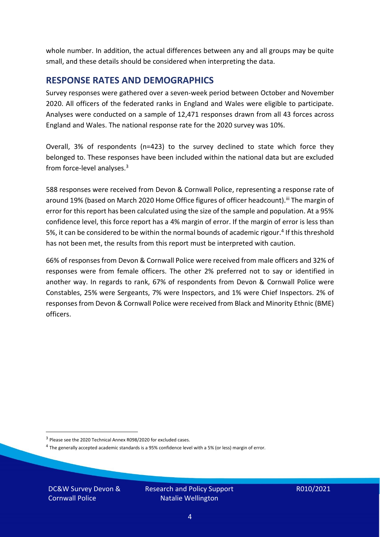whole number. In addition, the actual differences between any and all groups may be quite small, and these details should be considered when interpreting the data.

#### <span id="page-3-0"></span>**RESPONSE RATES AND DEMOGRAPHICS**

Survey responses were gathered over a seven-week period between October and November 2020. All officers of the federated ranks in England and Wales were eligible to participate. Analyses were conducted on a sample of 12,471 responses drawn from all 43 forces across England and Wales. The national response rate for the 2020 survey was 10%.

Overall, 3% of respondents (n=423) to the survey declined to state which force they belonged to. These responses have been included within the national data but are excluded from force-level analyses.<sup>3</sup>

588 responses were received from Devon & Cornwall Police, representing a response rate of around 19% (based on March 2020 Home Office figures of officer headcount).<sup>iii</sup> The margin of error for this report has been calculated using the size of the sample and population. At a 95% confidence level, this force report has a 4% margin of error. If the margin of error is less than 5%, it can be considered to be within the normal bounds of academic rigour.<sup>4</sup> If this threshold has not been met, the results from this report must be interpreted with caution.

66% of responses from Devon & Cornwall Police were received from male officers and 32% of responses were from female officers. The other 2% preferred not to say or identified in another way. In regards to rank, 67% of respondents from Devon & Cornwall Police were Constables, 25% were Sergeants, 7% were Inspectors, and 1% were Chief Inspectors. 2% of responses from Devon & Cornwall Police were received from Black and Minority Ethnic (BME) officers.

DC&W Survey Devon & Cornwall Police

<sup>&</sup>lt;sup>3</sup> Please see the 2020 Technical Annex R098/2020 for excluded cases.

<sup>&</sup>lt;sup>4</sup> The generally accepted academic standards is a 95% confidence level with a 5% (or less) margin of error.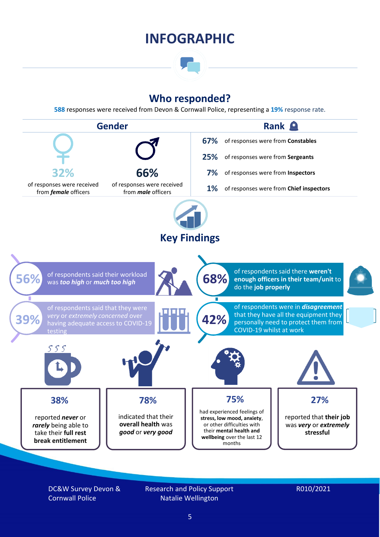### **INFOGRAPHIC**

### **Who responded?**

**588** responses were received from Devon & Cornwall Police, representing a **19%** response rate.



DC&W Survey Devon & Cornwall Police

Research and Policy Support Natalie Wellington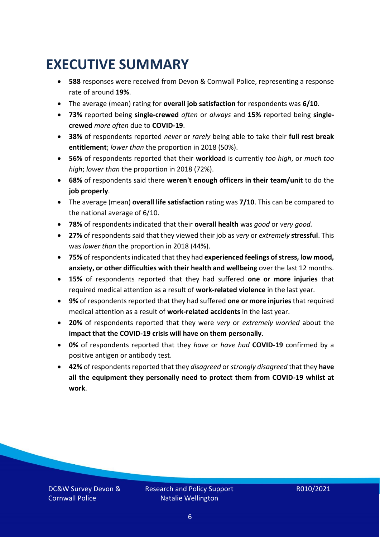### <span id="page-5-0"></span>**EXECUTIVE SUMMARY**

- **588** responses were received from Devon & Cornwall Police, representing a response rate of around **19%**.
- The average (mean) rating for **overall job satisfaction** for respondents was **6/10**.
- **73%** reported being **single-crewed** *often* or *always* and **15%** reported being **singlecrewed** *more often* due to **COVID-19**.
- **38%** of respondents reported *never* or *rarely* being able to take their **full rest break entitlement**; *lower than* the proportion in 2018 (50%).
- **56%** of respondents reported that their **workload** is currently *too high*, or *much too high*; *lower than* the proportion in 2018 (72%).
- **68%** of respondents said there **weren't enough officers in their team/unit** to do the **job properly**.
- The average (mean) **overall life satisfaction** rating was **7/10**. This can be compared to the national average of 6/10.
- **78%** of respondents indicated that their **overall health** was *good* or *very good.*
- **27%** of respondents said that they viewed their job as *very* or *extremely* **stressful**. This was *lower than* the proportion in 2018 (44%).
- **75%** of respondents indicated that they had **experienced feelings of stress, low mood, anxiety, or other difficulties with their health and wellbeing** over the last 12 months.
- **15%** of respondents reported that they had suffered **one or more injuries** that required medical attention as a result of **work-related violence** in the last year.
- **9%** of respondents reported that they had suffered **one or more injuries**that required medical attention as a result of **work-related accidents** in the last year.
- **20%** of respondents reported that they were *very* or *extremely worried* about the **impact that the COVID-19 crisis will have on them personally**.
- **0%** of respondents reported that they *have* or *have had* **COVID-19** confirmed by a positive antigen or antibody test.
- **42%** of respondents reported that they *disagreed* or *strongly disagreed* that they **have all the equipment they personally need to protect them from COVID-19 whilst at work**.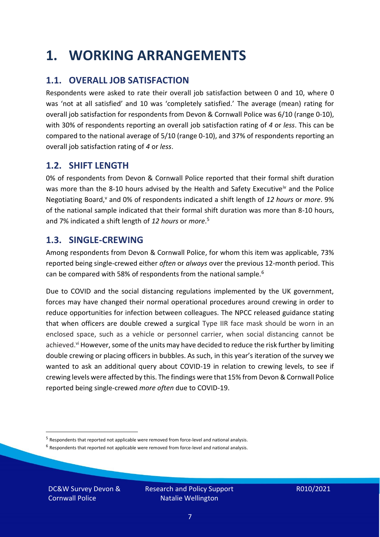### <span id="page-6-0"></span>**1. WORKING ARRANGEMENTS**

### **1.1. OVERALL JOB SATISFACTION**

Respondents were asked to rate their overall job satisfaction between 0 and 10, where 0 was 'not at all satisfied' and 10 was 'completely satisfied.' The average (mean) rating for overall job satisfaction for respondents from Devon & Cornwall Police was 6/10 (range 0-10), with 30% of respondents reporting an overall job satisfaction rating of *4* or *less*. This can be compared to the national average of 5/10 (range 0-10), and 37% of respondents reporting an overall job satisfaction rating of *4* or *less*.

### **1.2. SHIFT LENGTH**

0% of respondents from Devon & Cornwall Police reported that their formal shift duration was more than the 8-10 hours advised by the Health and Safety Executive<sup>iv</sup> and the Police Negotiating Board,<sup>v</sup> and 0% of respondents indicated a shift length of 12 hours or more. 9% of the national sample indicated that their formal shift duration was more than 8-10 hours, and 7% indicated a shift length of *12 hours* or *more*. 5

#### **1.3. SINGLE-CREWING**

Among respondents from Devon & Cornwall Police, for whom this item was applicable, 73% reported being single-crewed either *often* or *always* over the previous 12-month period. This can be compared with 58% of respondents from the national sample.<sup>6</sup>

Due to COVID and the social distancing regulations implemented by the UK government, forces may have changed their normal operational procedures around crewing in order to reduce opportunities for infection between colleagues. The NPCC released guidance stating that when officers are double crewed a surgical Type IIR face mask should be worn in an enclosed space, such as a vehicle or personnel carrier, when social distancing cannot be achieved.<sup>vi</sup> However, some of the units may have decided to reduce the risk further by limiting double crewing or placing officers in bubbles. As such, in this year's iteration of the survey we wanted to ask an additional query about COVID-19 in relation to crewing levels, to see if crewing levels were affected by this. The findings were that 15% from Devon & Cornwall Police reported being single-crewed *more often* due to COVID-19.

 $<sup>6</sup>$  Respondents that reported not applicable were removed from force-level and national analysis.</sup>

DC&W Survey Devon & Cornwall Police

<sup>&</sup>lt;sup>5</sup> Respondents that reported not applicable were removed from force-level and national analysis.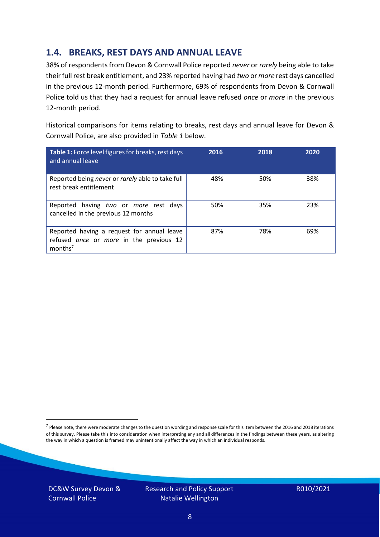### **1.4. BREAKS, REST DAYS AND ANNUAL LEAVE**

38% of respondents from Devon & Cornwall Police reported *never* or *rarely* being able to take their full rest break entitlement, and 23% reported having had *two* or *more* rest days cancelled in the previous 12-month period. Furthermore, 69% of respondents from Devon & Cornwall Police told us that they had a request for annual leave refused *once* or *more* in the previous 12-month period.

Historical comparisons for items relating to breaks, rest days and annual leave for Devon & Cornwall Police, are also provided in *Table 1* below.

| Table 1: Force level figures for breaks, rest days<br>and annual leave                                       | 2016 | 2018 | 2020 |
|--------------------------------------------------------------------------------------------------------------|------|------|------|
| Reported being never or rarely able to take full<br>rest break entitlement                                   | 48%  | 50%  | 38%  |
| Reported having two or more rest days<br>cancelled in the previous 12 months                                 | 50%  | 35%  | 23%  |
| Reported having a request for annual leave<br>refused once or more in the previous 12<br>months <sup>7</sup> | 87%  | 78%  | 69%  |

DC&W Survey Devon & Cornwall Police



<sup>&</sup>lt;sup>7</sup> Please note, there were moderate changes to the question wording and response scale for this item between the 2016 and 2018 iterations of this survey. Please take this into consideration when interpreting any and all differences in the findings between these years, as altering the way in which a question is framed may unintentionally affect the way in which an individual responds.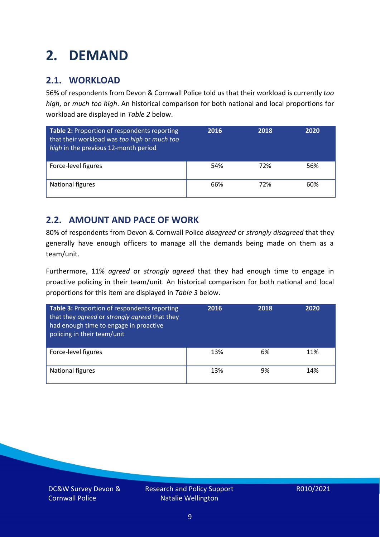### <span id="page-8-0"></span>**2. DEMAND**

### **2.1. WORKLOAD**

56% of respondents from Devon & Cornwall Police told us that their workload is currently *too high*, or *much too high*. An historical comparison for both national and local proportions for workload are displayed in *Table 2* below.

| Table 2: Proportion of respondents reporting<br>that their workload was too high or much too<br>high in the previous 12-month period | 2016 | 2018 | 2020 |
|--------------------------------------------------------------------------------------------------------------------------------------|------|------|------|
| Force-level figures                                                                                                                  | 54%  | 72%  | 56%  |
| National figures                                                                                                                     | 66%  | 72%  | 60%  |

### **2.2. AMOUNT AND PACE OF WORK**

80% of respondents from Devon & Cornwall Police *disagreed* or *strongly disagreed* that they generally have enough officers to manage all the demands being made on them as a team/unit.

Furthermore, 11% *agreed* or *strongly agreed* that they had enough time to engage in proactive policing in their team/unit. An historical comparison for both national and local proportions for this item are displayed in *Table 3* below.

| Table 3: Proportion of respondents reporting<br>that they agreed or strongly agreed that they<br>had enough time to engage in proactive<br>policing in their team/unit | 2016 | 2018 | 2020 |
|------------------------------------------------------------------------------------------------------------------------------------------------------------------------|------|------|------|
| Force-level figures                                                                                                                                                    | 13%  | 6%   | 11%  |
| National figures                                                                                                                                                       | 13%  | 9%   | 14%  |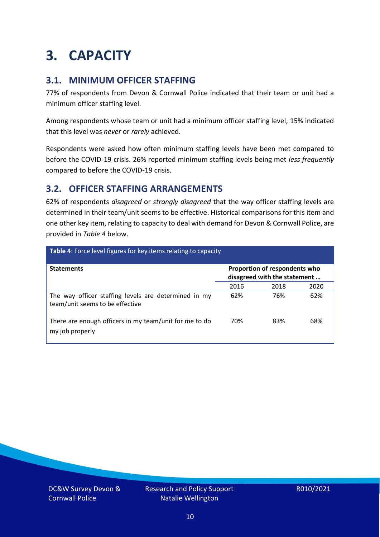### <span id="page-9-0"></span>**3. CAPACITY**

### **3.1. MINIMUM OFFICER STAFFING**

77% of respondents from Devon & Cornwall Police indicated that their team or unit had a minimum officer staffing level.

Among respondents whose team or unit had a minimum officer staffing level, 15% indicated that this level was *never* or *rarely* achieved.

Respondents were asked how often minimum staffing levels have been met compared to before the COVID-19 crisis. 26% reported minimum staffing levels being met *less frequently* compared to before the COVID-19 crisis.

### **3.2. OFFICER STAFFING ARRANGEMENTS**

62% of respondents *disagreed* or *strongly disagreed* that the way officer staffing levels are determined in their team/unit seems to be effective. Historical comparisons for this item and one other key item, relating to capacity to deal with demand for Devon & Cornwall Police, are provided in *Table 4* below.

| Table 4: Force level figures for key items relating to capacity                         |                                                               |      |      |
|-----------------------------------------------------------------------------------------|---------------------------------------------------------------|------|------|
| <b>Statements</b>                                                                       | Proportion of respondents who<br>disagreed with the statement |      |      |
|                                                                                         | 2016                                                          | 2018 | 2020 |
| The way officer staffing levels are determined in my<br>team/unit seems to be effective | 62%                                                           | 76%  | 62%  |
| There are enough officers in my team/unit for me to do<br>my job properly               | 70%                                                           | 83%  | 68%  |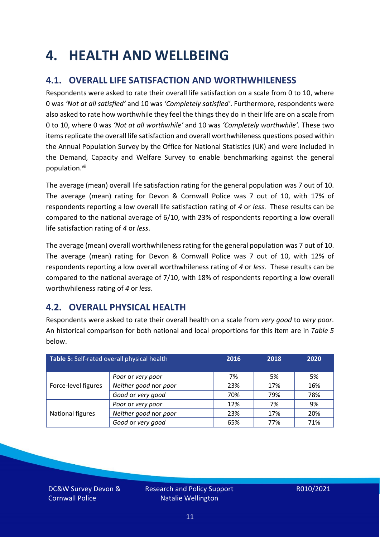### <span id="page-10-0"></span>**4. HEALTH AND WELLBEING**

### **4.1. OVERALL LIFE SATISFACTION AND WORTHWHILENESS**

Respondents were asked to rate their overall life satisfaction on a scale from 0 to 10, where 0 was *'Not at all satisfied'* and 10 was *'Completely satisfied'*. Furthermore, respondents were also asked to rate how worthwhile they feel the things they do in their life are on a scale from 0 to 10, where 0 was *'Not at all worthwhile'* and 10 was *'Completely worthwhile'.* These two items replicate the overall life satisfaction and overall worthwhileness questions posed within the Annual Population Survey by the Office for National Statistics (UK) and were included in the Demand, Capacity and Welfare Survey to enable benchmarking against the general population. vii

The average (mean) overall life satisfaction rating for the general population was 7 out of 10. The average (mean) rating for Devon & Cornwall Police was 7 out of 10, with 17% of respondents reporting a low overall life satisfaction rating of *4* or *less*. These results can be compared to the national average of 6/10, with 23% of respondents reporting a low overall life satisfaction rating of *4* or *less*.

The average (mean) overall worthwhileness rating for the general population was 7 out of 10. The average (mean) rating for Devon & Cornwall Police was 7 out of 10, with 12% of respondents reporting a low overall worthwhileness rating of *4* or *less*. These results can be compared to the national average of 7/10, with 18% of respondents reporting a low overall worthwhileness rating of *4* or *less*.

### **4.2. OVERALL PHYSICAL HEALTH**

Respondents were asked to rate their overall health on a scale from *very good* to *very poor*. An historical comparison for both national and local proportions for this item are in *Table 5* below.

| Table 5: Self-rated overall physical health |                       | 2016 | 2018 | 2020 |
|---------------------------------------------|-----------------------|------|------|------|
|                                             | Poor or very poor     | 7%   | 5%   | 5%   |
| Force-level figures                         | Neither good nor poor | 23%  | 17%  | 16%  |
|                                             | Good or very good     | 70%  | 79%  | 78%  |
|                                             | Poor or very poor     | 12%  | 7%   | 9%   |
| National figures                            | Neither good nor poor | 23%  | 17%  | 20%  |
|                                             | Good or very good     | 65%  | 77%  | 71%  |

DC&W Survey Devon & Cornwall Police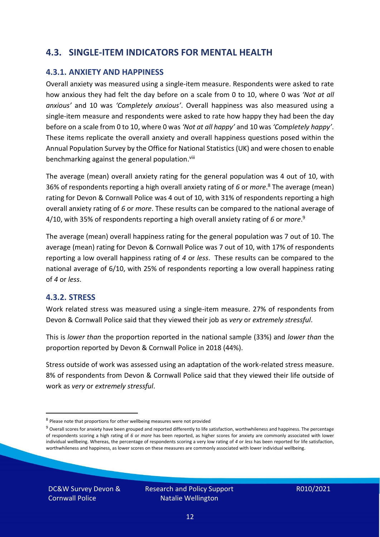### **4.3. SINGLE-ITEM INDICATORS FOR MENTAL HEALTH**

#### **4.3.1. ANXIETY AND HAPPINESS**

Overall anxiety was measured using a single-item measure. Respondents were asked to rate how anxious they had felt the day before on a scale from 0 to 10, where 0 was *'Not at all anxious'* and 10 was *'Completely anxious'*. Overall happiness was also measured using a single-item measure and respondents were asked to rate how happy they had been the day before on a scale from 0 to 10, where 0 was *'Not at all happy'* and 10 was *'Completely happy'*. These items replicate the overall anxiety and overall happiness questions posed within the Annual Population Survey by the Office for National Statistics (UK) and were chosen to enable benchmarking against the general population.<sup>viii</sup>

The average (mean) overall anxiety rating for the general population was 4 out of 10, with 36% of respondents reporting a high overall anxiety rating of *6* or *more*. <sup>8</sup> The average (mean) rating for Devon & Cornwall Police was 4 out of 10, with 31% of respondents reporting a high overall anxiety rating of *6* or *more*. These results can be compared to the national average of 4/10, with 35% of respondents reporting a high overall anxiety rating of *6* or *more*. 9

The average (mean) overall happiness rating for the general population was 7 out of 10. The average (mean) rating for Devon & Cornwall Police was 7 out of 10, with 17% of respondents reporting a low overall happiness rating of *4* or *less*. These results can be compared to the national average of 6/10, with 25% of respondents reporting a low overall happiness rating of *4* or *less*.

#### **4.3.2. STRESS**

Work related stress was measured using a single-item measure. 27% of respondents from Devon & Cornwall Police said that they viewed their job as *very* or *extremely stressful*.

This is *lower than* the proportion reported in the national sample (33%) and *lower than* the proportion reported by Devon & Cornwall Police in 2018 (44%).

Stress outside of work was assessed using an adaptation of the work-related stress measure. 8% of respondents from Devon & Cornwall Police said that they viewed their life outside of work as *very* or *extremely stressful*.

<sup>&</sup>lt;sup>8</sup> Please note that proportions for other wellbeing measures were not provided

 $9$  Overall scores for anxiety have been grouped and reported differently to life satisfaction, worthwhileness and happiness. The percentage of respondents scoring a high rating of *6* or *more* has been reported, as higher scores for anxiety are commonly associated with lower individual wellbeing. Whereas, the percentage of respondents scoring a very low rating of *4* or *less* has been reported for life satisfaction, worthwhileness and happiness, as lower scores on these measures are commonly associated with lower individual wellbeing.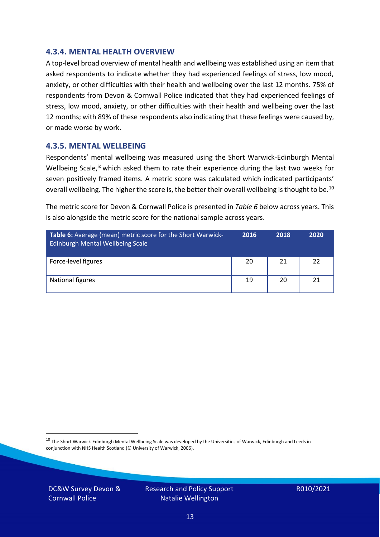#### **4.3.4. MENTAL HEALTH OVERVIEW**

A top-level broad overview of mental health and wellbeing was established using an item that asked respondents to indicate whether they had experienced feelings of stress, low mood, anxiety, or other difficulties with their health and wellbeing over the last 12 months. 75% of respondents from Devon & Cornwall Police indicated that they had experienced feelings of stress, low mood, anxiety, or other difficulties with their health and wellbeing over the last 12 months; with 89% of these respondents also indicating that these feelings were caused by, or made worse by work.

#### **4.3.5. MENTAL WELLBEING**

Respondents' mental wellbeing was measured using the Short Warwick-Edinburgh Mental Wellbeing Scale,<sup>ix</sup> which asked them to rate their experience during the last two weeks for seven positively framed items. A metric score was calculated which indicated participants' overall wellbeing. The higher the score is, the better their overall wellbeing is thought to be.<sup>10</sup>

The metric score for Devon & Cornwall Police is presented in *Table 6* below across years. This is also alongside the metric score for the national sample across years.

| <b>Table 6:</b> Average (mean) metric score for the Short Warwick-<br>Edinburgh Mental Wellbeing Scale | 2016 | 2018 | 2020 |
|--------------------------------------------------------------------------------------------------------|------|------|------|
| Force-level figures                                                                                    | 20   | 21   | 22   |
| National figures                                                                                       | 19   | 20   | 21   |

 $10$  The Short Warwick-Edinburgh Mental Wellbeing Scale was developed by the Universities of Warwick, Edinburgh and Leeds in conjunction with NHS Health Scotland (© University of Warwick, 2006).

DC&W Survey Devon & Cornwall Police

Research and Policy Support Natalie Wellington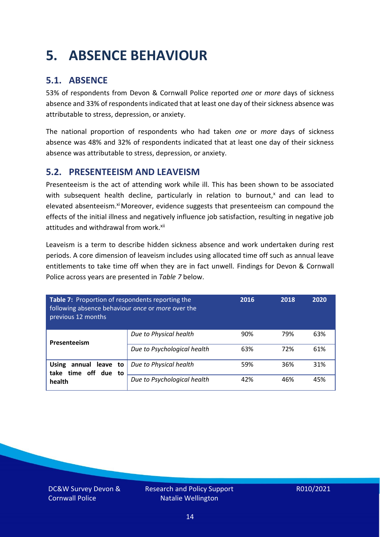### <span id="page-13-0"></span>**5. ABSENCE BEHAVIOUR**

### **5.1. ABSENCE**

53% of respondents from Devon & Cornwall Police reported *one* or *more* days of sickness absence and 33% of respondents indicated that at least one day of their sickness absence was attributable to stress, depression, or anxiety.

The national proportion of respondents who had taken *one* or *more* days of sickness absence was 48% and 32% of respondents indicated that at least one day of their sickness absence was attributable to stress, depression, or anxiety.

#### **5.2. PRESENTEEISM AND LEAVEISM**

Presenteeism is the act of attending work while ill. This has been shown to be associated with subsequent health decline, particularly in relation to burnout, $x$  and can lead to elevated absenteeism.<sup>xi</sup> Moreover, evidence suggests that presenteeism can compound the effects of the initial illness and negatively influence job satisfaction, resulting in negative job attitudes and withdrawal from work.<sup>xii</sup>

Leaveism is a term to describe hidden sickness absence and work undertaken during rest periods. A core dimension of leaveism includes using allocated time off such as annual leave entitlements to take time off when they are in fact unwell. Findings for Devon & Cornwall Police across years are presented in *Table 7* below.

| Table 7: Proportion of respondents reporting the<br>following absence behaviour once or more over the<br>previous 12 months |                             | 2016 | 2018 | 2020 |
|-----------------------------------------------------------------------------------------------------------------------------|-----------------------------|------|------|------|
| Presenteeism                                                                                                                | Due to Physical health      | 90%  | 79%  | 63%  |
|                                                                                                                             | Due to Psychological health | 63%  | 72%  | 61%  |
| annual leave to<br><b>Using</b><br>time off due to<br>take<br>health                                                        | Due to Physical health      | 59%  | 36%  | 31%  |
|                                                                                                                             | Due to Psychological health | 42%  | 46%  | 45%  |

DC&W Survey Devon & Cornwall Police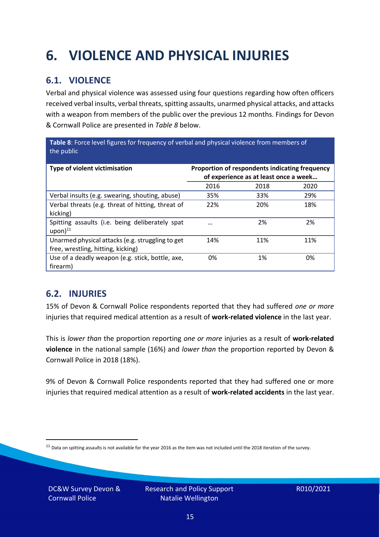## <span id="page-14-0"></span>**6. VIOLENCE AND PHYSICAL INJURIES**

### **6.1. VIOLENCE**

Verbal and physical violence was assessed using four questions regarding how often officers received verbal insults, verbal threats, spitting assaults, unarmed physical attacks, and attacks with a weapon from members of the public over the previous 12 months. Findings for Devon & Cornwall Police are presented in *Table 8* below.

**Table 8**: Force level figures for frequency of verbal and physical violence from members of the public

| Type of violent victimisation                                                          | Proportion of respondents indicating frequency<br>of experience as at least once a week |      |      |
|----------------------------------------------------------------------------------------|-----------------------------------------------------------------------------------------|------|------|
|                                                                                        | 2016                                                                                    | 2018 | 2020 |
| Verbal insults (e.g. swearing, shouting, abuse)                                        | 35%                                                                                     | 33%  | 29%  |
| Verbal threats (e.g. threat of hitting, threat of<br>kicking)                          | 22%                                                                                     | 20%  | 18%  |
| Spitting assaults (i.e. being deliberately spat<br>$upon)$ <sup>11</sup>               |                                                                                         | 2%   | 2%   |
| Unarmed physical attacks (e.g. struggling to get<br>free, wrestling, hitting, kicking) | 14%                                                                                     | 11%  | 11%  |
| Use of a deadly weapon (e.g. stick, bottle, axe,<br>firearm)                           | 0%                                                                                      | 1%   | 0%   |

### **6.2. INJURIES**

15% of Devon & Cornwall Police respondents reported that they had suffered *one or more* injuries that required medical attention as a result of **work-related violence** in the last year.

This is *lower than* the proportion reporting *one or more* injuries as a result of **work-related violence** in the national sample (16%) and *lower than* the proportion reported by Devon & Cornwall Police in 2018 (18%).

9% of Devon & Cornwall Police respondents reported that they had suffered one or more injuries that required medical attention as a result of **work-related accidents** in the last year.

DC&W Survey Devon & Cornwall Police

 $11$  Data on spitting assaults is not available for the year 2016 as the item was not included until the 2018 iteration of the survey.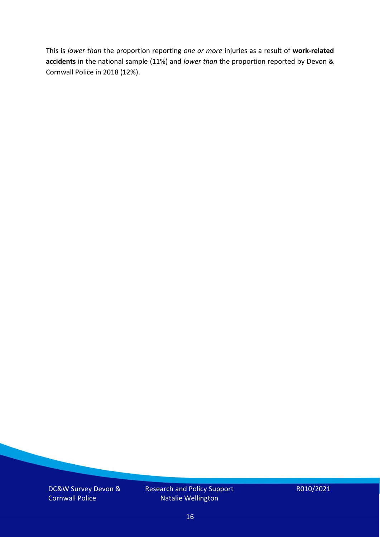This is *lower than* the proportion reporting *one or more* injuries as a result of **work-related accidents** in the national sample (11%) and *lower than* the proportion reported by Devon & Cornwall Police in 2018 (12%).

DC&W Survey Devon & Cornwall Police

Research and Policy Support Natalie Wellington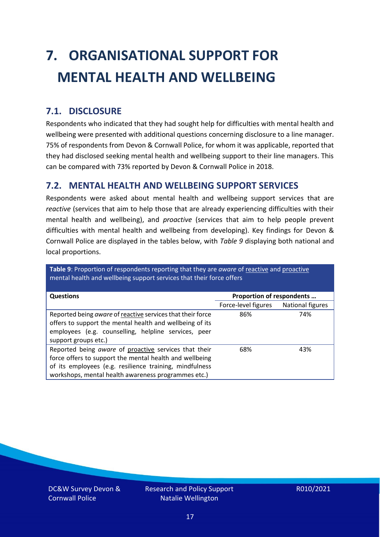# <span id="page-16-0"></span>**7. ORGANISATIONAL SUPPORT FOR MENTAL HEALTH AND WELLBEING**

### **7.1. DISCLOSURE**

Respondents who indicated that they had sought help for difficulties with mental health and wellbeing were presented with additional questions concerning disclosure to a line manager. 75% of respondents from Devon & Cornwall Police, for whom it was applicable, reported that they had disclosed seeking mental health and wellbeing support to their line managers. This can be compared with 73% reported by Devon & Cornwall Police in 2018.

#### **7.2. MENTAL HEALTH AND WELLBEING SUPPORT SERVICES**

Respondents were asked about mental health and wellbeing support services that are *reactive* (services that aim to help those that are already experiencing difficulties with their mental health and wellbeing), and *proactive* (services that aim to help people prevent difficulties with mental health and wellbeing from developing). Key findings for Devon & Cornwall Police are displayed in the tables below, with *Table 9* displaying both national and local proportions.

**Table 9**: Proportion of respondents reporting that they are *aware* of reactive and proactive mental health and wellbeing support services that their force offers

| <b>Questions</b>                                                                                                                                                                                                                   | Proportion of respondents |                  |
|------------------------------------------------------------------------------------------------------------------------------------------------------------------------------------------------------------------------------------|---------------------------|------------------|
|                                                                                                                                                                                                                                    | Force-level figures       | National figures |
| Reported being aware of reactive services that their force<br>offers to support the mental health and wellbeing of its<br>employees (e.g. counselling, helpline services, peer<br>support groups etc.)                             | 86%                       | 74%              |
| Reported being aware of proactive services that their<br>force offers to support the mental health and wellbeing<br>of its employees (e.g. resilience training, mindfulness<br>workshops, mental health awareness programmes etc.) | 68%                       | 43%              |

DC&W Survey Devon & Cornwall Police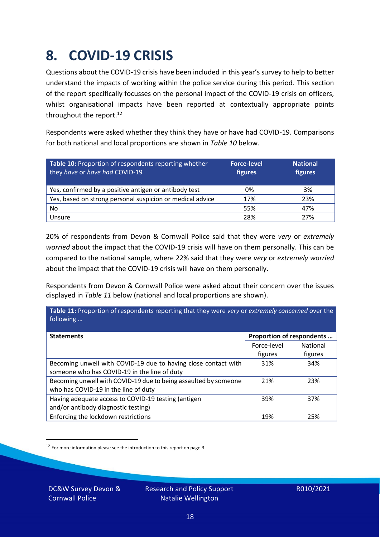### <span id="page-17-0"></span>**8. COVID-19 CRISIS**

Questions about the COVID-19 crisis have been included in this year's survey to help to better understand the impacts of working within the police service during this period. This section of the report specifically focusses on the personal impact of the COVID-19 crisis on officers, whilst organisational impacts have been reported at contextually appropriate points throughout the report.<sup>12</sup>

Respondents were asked whether they think they have or have had COVID-19. Comparisons for both national and local proportions are shown in *Table 10* below.

| Table 10: Proportion of respondents reporting whether<br>they have or have had COVID-19 | <b>Force-level</b><br>figures | <b>National</b><br>figures |
|-----------------------------------------------------------------------------------------|-------------------------------|----------------------------|
| Yes, confirmed by a positive antigen or antibody test                                   | 0%                            | 3%                         |
| Yes, based on strong personal suspicion or medical advice                               | 17%                           | 23%                        |
| No                                                                                      | 55%                           | 47%                        |
| Unsure                                                                                  | 28%                           | 27%                        |

20% of respondents from Devon & Cornwall Police said that they were *very* or *extremely worried* about the impact that the COVID-19 crisis will have on them personally. This can be compared to the national sample, where 22% said that they were *very* or *extremely worried* about the impact that the COVID-19 crisis will have on them personally.

Respondents from Devon & Cornwall Police were asked about their concern over the issues displayed in *Table 11* below (national and local proportions are shown).

| Table 11: Proportion of respondents reporting that they were very or extremely concerned over the<br>following |                           |                 |
|----------------------------------------------------------------------------------------------------------------|---------------------------|-----------------|
| <b>Statements</b>                                                                                              | Proportion of respondents |                 |
|                                                                                                                | Force-level               | <b>National</b> |
|                                                                                                                | figures                   | figures         |
| Becoming unwell with COVID-19 due to having close contact with                                                 | 31%                       | 34%             |
| someone who has COVID-19 in the line of duty                                                                   |                           |                 |
| Becoming unwell with COVID-19 due to being assaulted by someone                                                | 21%                       | 23%             |
| who has COVID-19 in the line of duty                                                                           |                           |                 |
| Having adequate access to COVID-19 testing (antigen                                                            | 39%                       | 37%             |
| and/or antibody diagnostic testing)                                                                            |                           |                 |
| Enforcing the lockdown restrictions                                                                            | 19%                       | 25%             |

<sup>12</sup> For more information please see the introduction to this report on page 3.

DC&W Survey Devon & Cornwall Police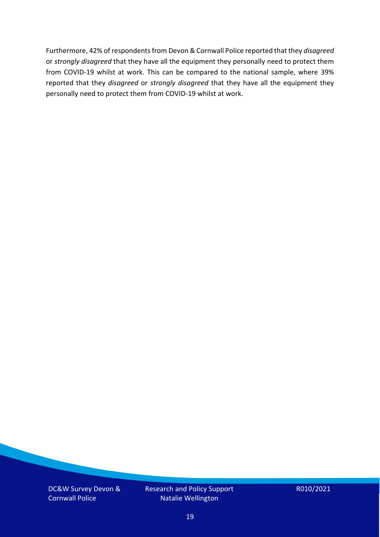Furthermore, 42% of respondents from Devon & Cornwall Police reported that they *disagreed*  or *strongly disagreed* that they have all the equipment they personally need to protect them from COVID-19 whilst at work. This can be compared to the national sample, where 39% reported that they *disagreed* or *strongly disagreed* that they have all the equipment they personally need to protect them from COVID-19 whilst at work.

DC&W Survey Devon & Cornwall Police

Research and Policy Support Natalie Wellington